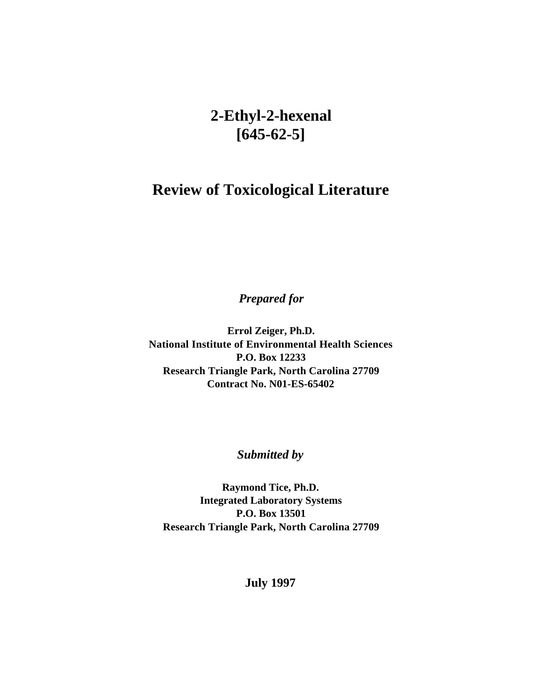# **2-Ethyl-2-hexenal [645-62-5]**

# **Review of Toxicological Literature**

*Prepared for* 

**Errol Zeiger, Ph.D. National Institute of Environmental Health Sciences P.O. Box 12233 Research Triangle Park, North Carolina 27709 Contract No. N01-ES-65402**

*Submitted by* 

**Raymond Tice, Ph.D. Integrated Laboratory Systems P.O. Box 13501 Research Triangle Park, North Carolina 27709**

**July 1997**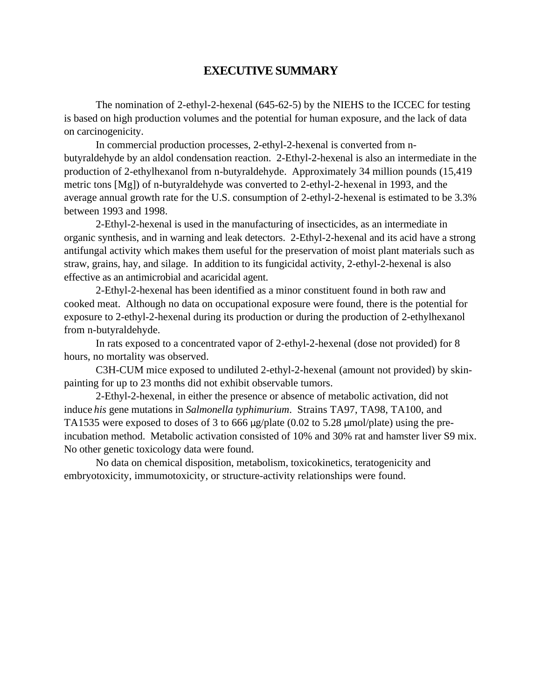# **EXECUTIVE SUMMARY**

The nomination of 2-ethyl-2-hexenal (645-62-5) by the NIEHS to the ICCEC for testing is based on high production volumes and the potential for human exposure, and the lack of data on carcinogenicity.

In commercial production processes, 2-ethyl-2-hexenal is converted from nbutyraldehyde by an aldol condensation reaction. 2-Ethyl-2-hexenal is also an intermediate in the production of 2-ethylhexanol from n-butyraldehyde. Approximately 34 million pounds (15,419 metric tons [Mg]) of n-butyraldehyde was converted to 2-ethyl-2-hexenal in 1993, and the average annual growth rate for the U.S. consumption of 2-ethyl-2-hexenal is estimated to be 3.3% between 1993 and 1998.

2-Ethyl-2-hexenal is used in the manufacturing of insecticides, as an intermediate in organic synthesis, and in warning and leak detectors. 2-Ethyl-2-hexenal and its acid have a strong antifungal activity which makes them useful for the preservation of moist plant materials such as straw, grains, hay, and silage. In addition to its fungicidal activity, 2-ethyl-2-hexenal is also effective as an antimicrobial and acaricidal agent.

2-Ethyl-2-hexenal has been identified as a minor constituent found in both raw and cooked meat. Although no data on occupational exposure were found, there is the potential for exposure to 2-ethyl-2-hexenal during its production or during the production of 2-ethylhexanol from n-butyraldehyde.

In rats exposed to a concentrated vapor of 2-ethyl-2-hexenal (dose not provided) for 8 hours, no mortality was observed.

C3H-CUM mice exposed to undiluted 2-ethyl-2-hexenal (amount not provided) by skinpainting for up to 23 months did not exhibit observable tumors.

2-Ethyl-2-hexenal, in either the presence or absence of metabolic activation, did not induce *his* gene mutations in *Salmonella typhimurium*. Strains TA97, TA98, TA100, and TA1535 were exposed to doses of 3 to 666  $\mu$ g/plate (0.02 to 5.28  $\mu$ mol/plate) using the preincubation method. Metabolic activation consisted of 10% and 30% rat and hamster liver S9 mix. No other genetic toxicology data were found.

No data on chemical disposition, metabolism, toxicokinetics, teratogenicity and embryotoxicity, immumotoxicity, or structure-activity relationships were found.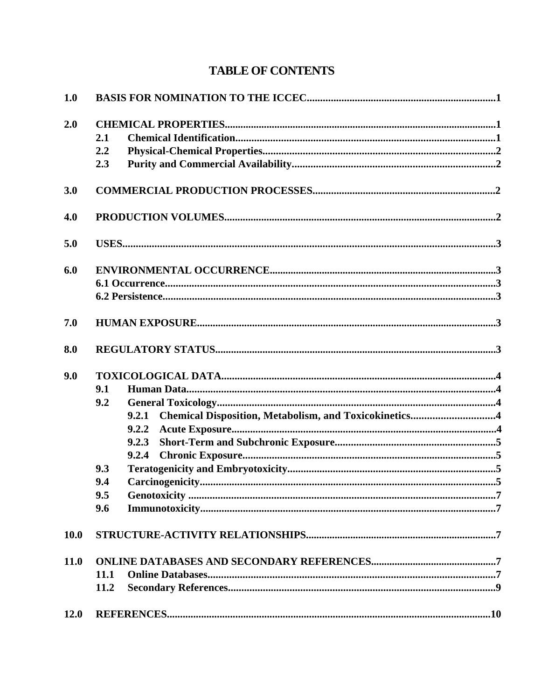# **TABLE OF CONTENTS**

| 1.0  |      |                                                                |  |  |  |  |  |
|------|------|----------------------------------------------------------------|--|--|--|--|--|
| 2.0  |      |                                                                |  |  |  |  |  |
|      | 2.1  |                                                                |  |  |  |  |  |
|      | 2.2  |                                                                |  |  |  |  |  |
|      | 2.3  |                                                                |  |  |  |  |  |
| 3.0  |      |                                                                |  |  |  |  |  |
| 4.0  |      |                                                                |  |  |  |  |  |
| 5.0  |      |                                                                |  |  |  |  |  |
| 6.0  |      |                                                                |  |  |  |  |  |
|      |      |                                                                |  |  |  |  |  |
|      |      |                                                                |  |  |  |  |  |
| 7.0  |      |                                                                |  |  |  |  |  |
| 8.0  |      |                                                                |  |  |  |  |  |
| 9.0  |      |                                                                |  |  |  |  |  |
|      | 9.1  |                                                                |  |  |  |  |  |
|      | 9.2  |                                                                |  |  |  |  |  |
|      |      | Chemical Disposition, Metabolism, and Toxicokinetics4<br>9.2.1 |  |  |  |  |  |
|      |      | 9.2.2                                                          |  |  |  |  |  |
|      |      | 9.2.3                                                          |  |  |  |  |  |
|      |      | 9.2.4                                                          |  |  |  |  |  |
|      | 9.3  |                                                                |  |  |  |  |  |
|      | 9.4  |                                                                |  |  |  |  |  |
|      | 9.5  |                                                                |  |  |  |  |  |
|      | 9.6  |                                                                |  |  |  |  |  |
| 10.0 |      |                                                                |  |  |  |  |  |
| 11.0 |      |                                                                |  |  |  |  |  |
|      | 11.1 |                                                                |  |  |  |  |  |
|      | 11.2 |                                                                |  |  |  |  |  |
| 12.0 |      |                                                                |  |  |  |  |  |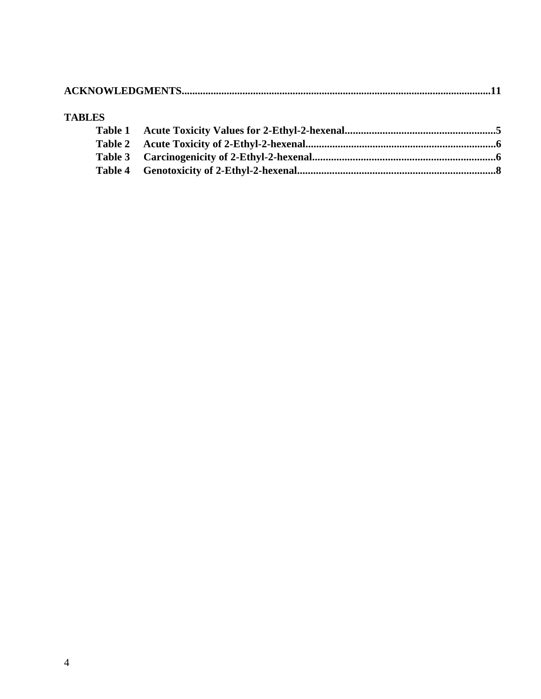|--|

#### **TABLES**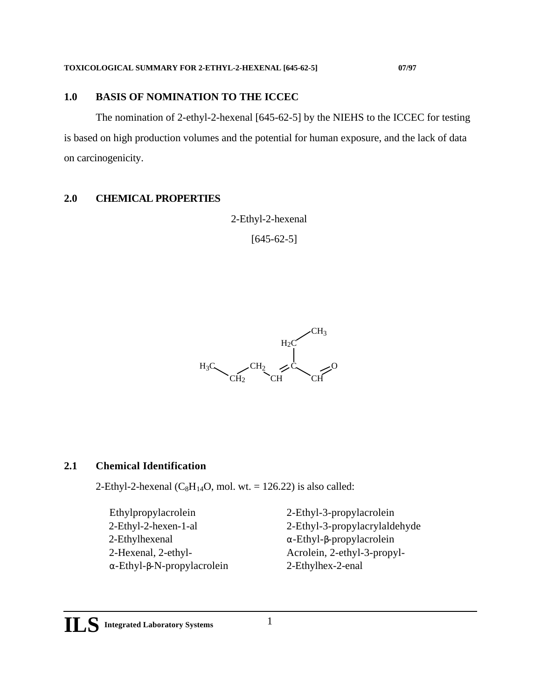### <span id="page-4-0"></span>**1.0 BASIS OF NOMINATION TO THE ICCEC**

The nomination of 2-ethyl-2-hexenal [645-62-5] by the NIEHS to the ICCEC for testing is based on high production volumes and the potential for human exposure, and the lack of data on carcinogenicity.

## **2.0 CHEMICAL PROPERTIES**

2-Ethyl-2-hexenal

 $[645-62-5]$ 



# **2.1 Chemical Identification**

2-Ethyl-2-hexenal  $(C_8H_{14}O, \text{mol. wt.} = 126.22)$  is also called:

 Ethylpropylacrolein 2-Ethyl-3-propylacrolein 2-Ethylhexenal -Ethyl- -propylacrolein -Ethyl- -N-propylacrolein 2-Ethylhex-2-enal

 2-Ethyl-2-hexen-1-al 2-Ethyl-3-propylacrylaldehyde 2-Hexenal, 2-ethyl- Acrolein, 2-ethyl-3-propyl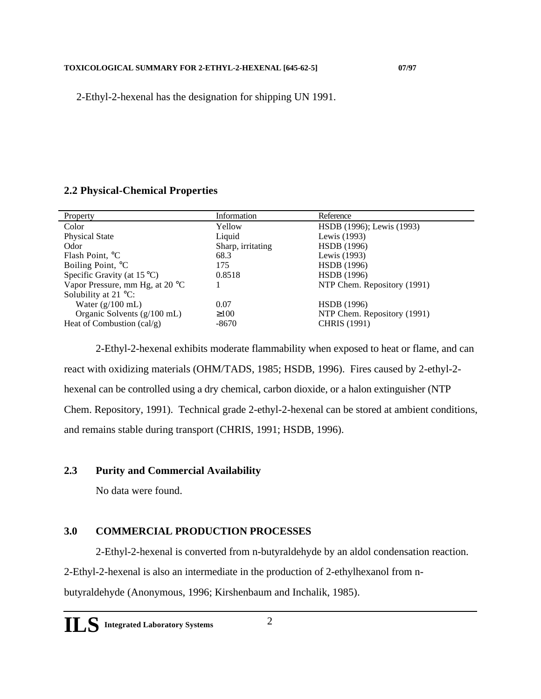<span id="page-5-0"></span>2-Ethyl-2-hexenal has the designation for shipping UN 1991.

# **2.2 Physical-Chemical Properties**

| Property                             | Information       | Reference                   |
|--------------------------------------|-------------------|-----------------------------|
| Color                                | Yellow            | HSDB (1996); Lewis (1993)   |
| <b>Physical State</b>                | Liquid            | Lewis (1993)                |
| Odor                                 | Sharp, irritating | <b>HSDB</b> (1996)          |
| Flash Point, °C                      | 68.3              | Lewis (1993)                |
| Boiling Point, °C                    | 175               | <b>HSDB</b> (1996)          |
| Specific Gravity (at $15^{\circ}$ C) | 0.8518            | <b>HSDB</b> (1996)          |
| Vapor Pressure, mm Hg, at 20 °C      |                   | NTP Chem. Repository (1991) |
| Solubility at $21 \degree$ C:        |                   |                             |
| Water $(g/100 \text{ mL})$           | 0.07              | <b>HSDB</b> (1996)          |
| Organic Solvents (g/100 mL)          | 100               | NTP Chem. Repository (1991) |
| Heat of Combustion $\text{(cal/g)}$  | $-8670$           | <b>CHRIS</b> (1991)         |
|                                      |                   |                             |

2-Ethyl-2-hexenal exhibits moderate flammability when exposed to heat or flame, and can react with oxidizing materials (OHM/TADS, 1985; HSDB, 1996). Fires caused by 2-ethyl-2 hexenal can be controlled using a dry chemical, carbon dioxide, or a halon extinguisher (NTP Chem. Repository, 1991). Technical grade 2-ethyl-2-hexenal can be stored at ambient conditions, and remains stable during transport (CHRIS, 1991; HSDB, 1996).

# **2.3 Purity and Commercial Availability**

No data were found.

# **3.0 COMMERCIAL PRODUCTION PROCESSES**

2-Ethyl-2-hexenal is converted from n-butyraldehyde by an aldol condensation reaction.

2-Ethyl-2-hexenal is also an intermediate in the production of 2-ethylhexanol from n-

butyraldehyde (Anonymous, 1996; Kirshenbaum and Inchalik, 1985).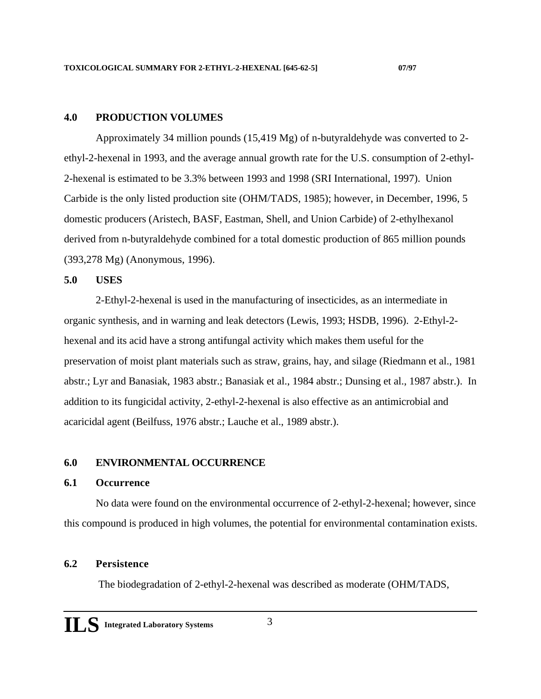#### <span id="page-6-0"></span>**4.0 PRODUCTION VOLUMES**

Approximately 34 million pounds (15,419 Mg) of n-butyraldehyde was converted to 2 ethyl-2-hexenal in 1993, and the average annual growth rate for the U.S. consumption of 2-ethyl-2-hexenal is estimated to be 3.3% between 1993 and 1998 (SRI International, 1997). Union Carbide is the only listed production site (OHM/TADS, 1985); however, in December, 1996, 5 domestic producers (Aristech, BASF, Eastman, Shell, and Union Carbide) of 2-ethylhexanol derived from n-butyraldehyde combined for a total domestic production of 865 million pounds (393,278 Mg) (Anonymous, 1996).

#### **5.0 USES**

2-Ethyl-2-hexenal is used in the manufacturing of insecticides, as an intermediate in organic synthesis, and in warning and leak detectors (Lewis, 1993; HSDB, 1996). 2-Ethyl-2 hexenal and its acid have a strong antifungal activity which makes them useful for the preservation of moist plant materials such as straw, grains, hay, and silage (Riedmann et al., 1981 abstr.; Lyr and Banasiak, 1983 abstr.; Banasiak et al., 1984 abstr.; Dunsing et al., 1987 abstr.). In addition to its fungicidal activity, 2-ethyl-2-hexenal is also effective as an antimicrobial and acaricidal agent (Beilfuss, 1976 abstr.; Lauche et al., 1989 abstr.).

#### **6.0 ENVIRONMENTAL OCCURRENCE**

#### **6.1 Occurrence**

No data were found on the environmental occurrence of 2-ethyl-2-hexenal; however, since this compound is produced in high volumes, the potential for environmental contamination exists.

#### **6.2 Persistence**

The biodegradation of 2-ethyl-2-hexenal was described as moderate (OHM/TADS,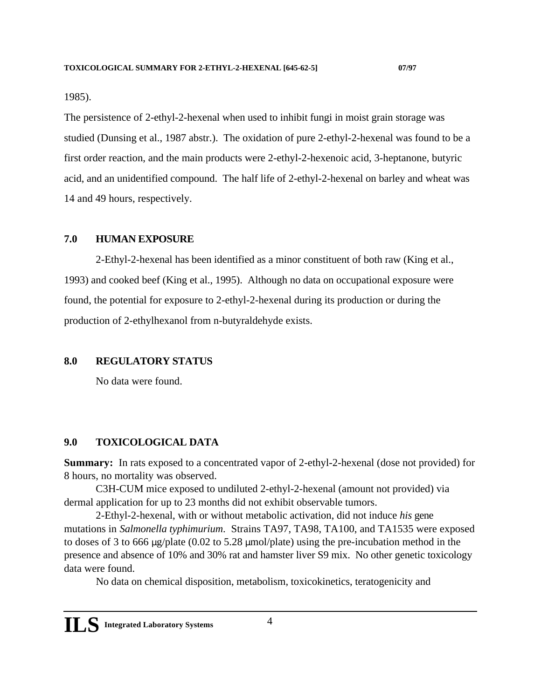<span id="page-7-0"></span>1985).

The persistence of 2-ethyl-2-hexenal when used to inhibit fungi in moist grain storage was studied (Dunsing et al., 1987 abstr.). The oxidation of pure 2-ethyl-2-hexenal was found to be a first order reaction, and the main products were 2-ethyl-2-hexenoic acid, 3-heptanone, butyric acid, and an unidentified compound. The half life of 2-ethyl-2-hexenal on barley and wheat was 14 and 49 hours, respectively.

#### **7.0 HUMAN EXPOSURE**

2-Ethyl-2-hexenal has been identified as a minor constituent of both raw (King et al., 1993) and cooked beef (King et al., 1995). Although no data on occupational exposure were found, the potential for exposure to 2-ethyl-2-hexenal during its production or during the production of 2-ethylhexanol from n-butyraldehyde exists.

#### **8.0 REGULATORY STATUS**

No data were found.

#### **9.0 TOXICOLOGICAL DATA**

**Summary:** In rats exposed to a concentrated vapor of 2-ethyl-2-hexenal (dose not provided) for 8 hours, no mortality was observed.

C3H-CUM mice exposed to undiluted 2-ethyl-2-hexenal (amount not provided) via dermal application for up to 23 months did not exhibit observable tumors.

2-Ethyl-2-hexenal, with or without metabolic activation, did not induce *his* gene mutations in *Salmonella typhimurium*. Strains TA97, TA98, TA100, and TA1535 were exposed to doses of 3 to 666  $\mu$ g/plate (0.02 to 5.28  $\mu$ mol/plate) using the pre-incubation method in the presence and absence of 10% and 30% rat and hamster liver S9 mix. No other genetic toxicology data were found.

No data on chemical disposition, metabolism, toxicokinetics, teratogenicity and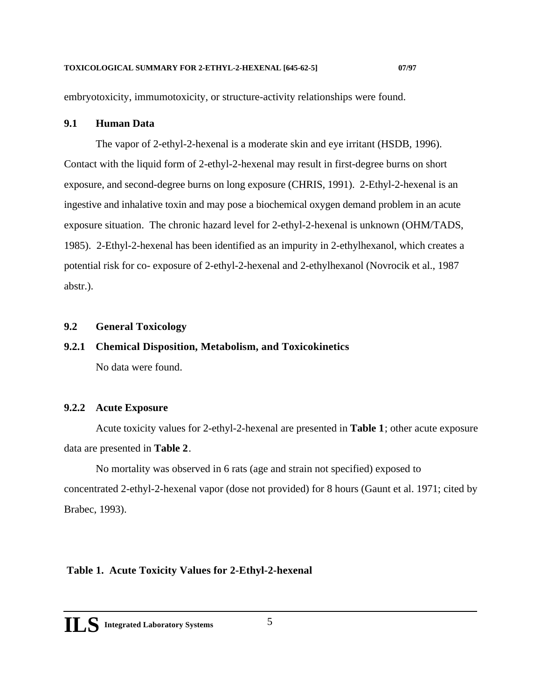<span id="page-8-0"></span>embryotoxicity, immumotoxicity, or structure-activity relationships were found.

#### **9.1 Human Data**

The vapor of 2-ethyl-2-hexenal is a moderate skin and eye irritant (HSDB, 1996). Contact with the liquid form of 2-ethyl-2-hexenal may result in first-degree burns on short exposure, and second-degree burns on long exposure (CHRIS, 1991). 2-Ethyl-2-hexenal is an ingestive and inhalative toxin and may pose a biochemical oxygen demand problem in an acute exposure situation. The chronic hazard level for 2-ethyl-2-hexenal is unknown (OHM/TADS, 1985). 2-Ethyl-2-hexenal has been identified as an impurity in 2-ethylhexanol, which creates a potential risk for co- exposure of 2-ethyl-2-hexenal and 2-ethylhexanol (Novrocik et al., 1987 abstr.).

#### **9.2 General Toxicology**

# **9.2.1 Chemical Disposition, Metabolism, and Toxicokinetics**  No data were found.

### **9.2.2 Acute Exposure**

Acute toxicity values for 2-ethyl-2-hexenal are presented in **Table 1**; other acute exposure data are presented in **Table 2**.

No mortality was observed in 6 rats (age and strain not specified) exposed to concentrated 2-ethyl-2-hexenal vapor (dose not provided) for 8 hours (Gaunt et al. 1971; cited by Brabec, 1993).

### **Table 1. Acute Toxicity Values for 2-Ethyl-2-hexenal**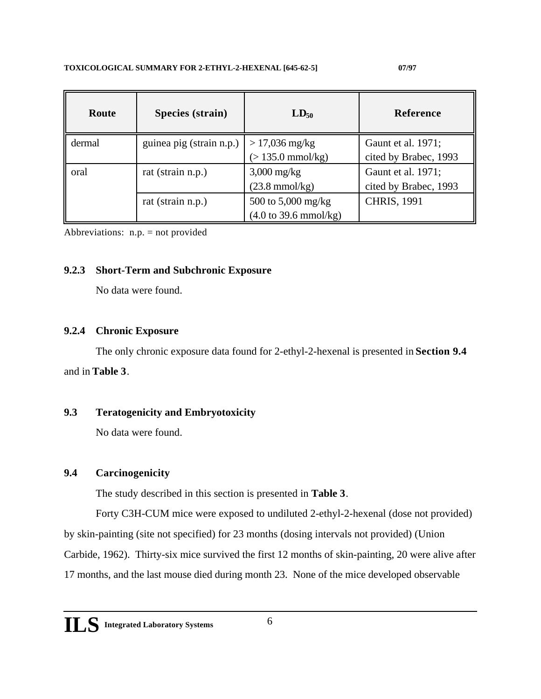| Route  | Species (strain)         | $LD_{50}$                                                      | <b>Reference</b>                            |
|--------|--------------------------|----------------------------------------------------------------|---------------------------------------------|
| dermal | guinea pig (strain n.p.) | $> 17,036$ mg/kg<br>$(> 135.0 \text{ mmol/kg})$                | Gaunt et al. 1971;<br>cited by Brabec, 1993 |
| oral   | rat (strain n.p.)        | $3,000$ mg/kg<br>$(23.8 \text{ mmol/kg})$                      | Gaunt et al. 1971;<br>cited by Brabec, 1993 |
|        | rat (strain n.p.)        | 500 to 5,000 mg/kg<br>$(4.0 \text{ to } 39.6 \text{ mmol/kg})$ | <b>CHRIS, 1991</b>                          |

Abbreviations: n.p. = not provided

### **9.2.3 Short-Term and Subchronic Exposure**

No data were found.

#### **9.2.4 Chronic Exposure**

The only chronic exposure data found for 2-ethyl-2-hexenal is presented in **Section 9.4**  and in **Table 3**.

### **9.3 Teratogenicity and Embryotoxicity**

No data were found.

### **9.4 Carcinogenicity**

The study described in this section is presented in **Table 3**.

Forty C3H-CUM mice were exposed to undiluted 2-ethyl-2-hexenal (dose not provided)

by skin-painting (site not specified) for 23 months (dosing intervals not provided) (Union

Carbide, 1962). Thirty-six mice survived the first 12 months of skin-painting, 20 were alive after

17 months, and the last mouse died during month 23. None of the mice developed observable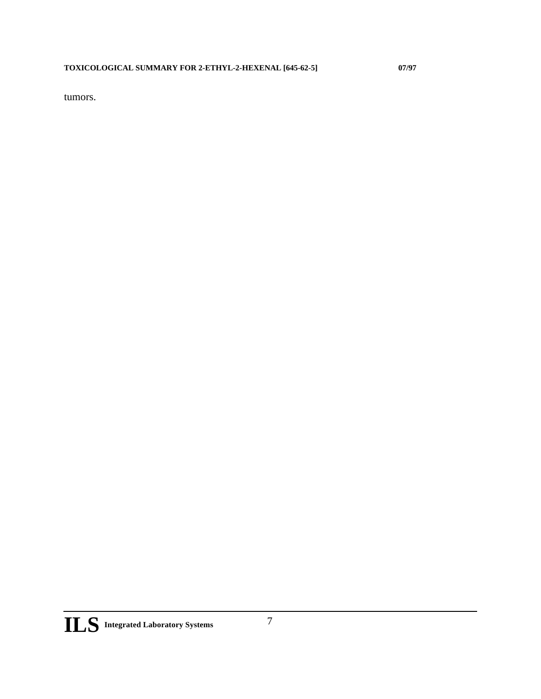<span id="page-10-0"></span>tumors.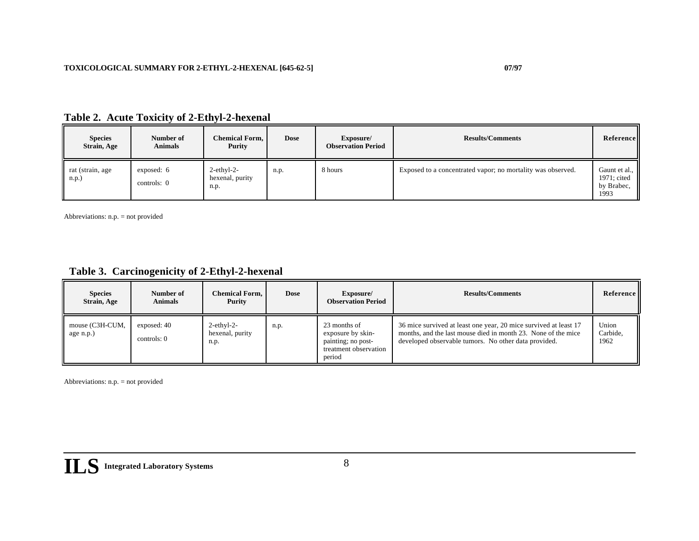| <b>Species</b><br>Strain, Age | Number of<br><b>Animals</b> | <b>Chemical Form,</b><br>Purity              | <b>Dose</b> | Exposure/<br><b>Observation Period</b> | <b>Results/Comments</b>                                     | Reference                                          |
|-------------------------------|-----------------------------|----------------------------------------------|-------------|----------------------------------------|-------------------------------------------------------------|----------------------------------------------------|
| rat (strain, age<br>n.p.)     | exposed: 6<br>controls: $0$ | $2$ -ethyl- $2$ -<br>hexenal, purity<br>n.p. | n.p.        | 8 hours                                | Exposed to a concentrated vapor; no mortality was observed. | Gaunt et al.,<br>1971; cited<br>by Brabec,<br>1993 |

|  | Table 2. Acute Toxicity of 2-Ethyl-2-hexenal |  |  |
|--|----------------------------------------------|--|--|
|--|----------------------------------------------|--|--|

Abbreviations: n.p. = not provided

## **Table 3. Carcinogenicity of 2-Ethyl-2-hexenal**

| <b>Species</b><br>Strain, Age | Number of<br><b>Animals</b> | Chemical Form,<br>Purity                 | <b>Dose</b> | Exposure/<br><b>Observation Period</b>                                                     | <b>Results/Comments</b>                                                                                                                                                                   | Reference                 |
|-------------------------------|-----------------------------|------------------------------------------|-------------|--------------------------------------------------------------------------------------------|-------------------------------------------------------------------------------------------------------------------------------------------------------------------------------------------|---------------------------|
| mouse (C3H-CUM,<br>age n.p.)  | exposed: 40<br>controls: 0  | $2$ -ethyl-2-<br>hexenal, purity<br>n.p. | n.p.        | 23 months of<br>exposure by skin-<br>painting; no post-<br>treatment observation<br>period | 36 mice survived at least one year, 20 mice survived at least 17<br>months, and the last mouse died in month 23. None of the mice<br>developed observable tumors. No other data provided. | Union<br>Carbide.<br>1962 |

Abbreviations: n.p. = not provided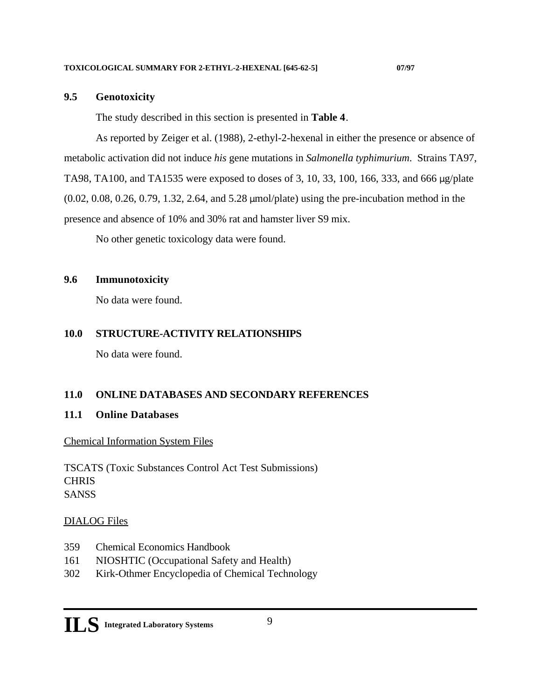#### <span id="page-12-0"></span>**9.5 Genotoxicity**

The study described in this section is presented in **Table 4**.

As reported by Zeiger et al. (1988), 2-ethyl-2-hexenal in either the presence or absence of metabolic activation did not induce *his* gene mutations in *Salmonella typhimurium*. Strains TA97, TA98, TA100, and TA1535 were exposed to doses of 3, 10, 33, 100, 166, 333, and 666 µg/plate (0.02, 0.08, 0.26, 0.79, 1.32, 2.64, and 5.28 µmol/plate) using the pre-incubation method in the presence and absence of 10% and 30% rat and hamster liver S9 mix.

No other genetic toxicology data were found.

#### **9.6 Immunotoxicity**

No data were found.

#### **10.0 STRUCTURE-ACTIVITY RELATIONSHIPS**

No data were found.

#### **11.0 ONLINE DATABASES AND SECONDARY REFERENCES**

#### **11.1 Online Databases**

#### Chemical Information System Files

TSCATS (Toxic Substances Control Act Test Submissions) **CHRIS** SANSS

### DIALOG Files

- 359 Chemical Economics Handbook
- 161 NIOSHTIC (Occupational Safety and Health)
- 302 Kirk-Othmer Encyclopedia of Chemical Technology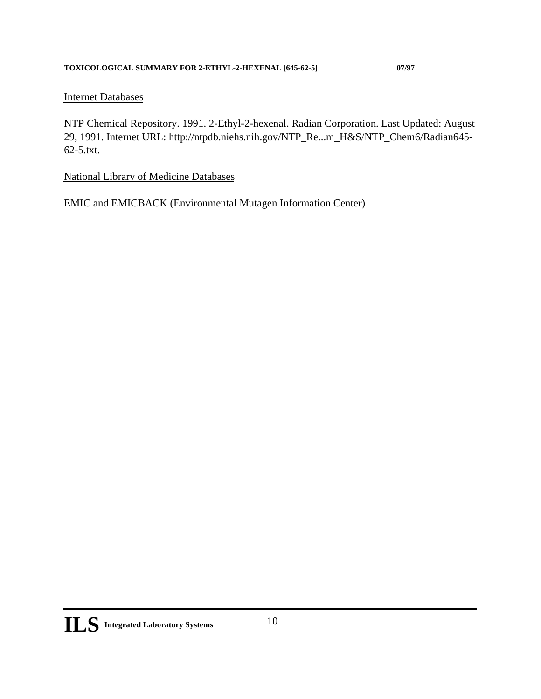### <span id="page-13-0"></span>Internet Databases

NTP Chemical Repository. 1991. 2-Ethyl-2-hexenal. Radian Corporation. Last Updated: August 29, 1991. Internet URL: http://ntpdb.niehs.nih.gov/NTP\_Re...m\_H&S/NTP\_Chem6/Radian645- 62-5.txt.

National Library of Medicine Databases

EMIC and EMICBACK (Environmental Mutagen Information Center)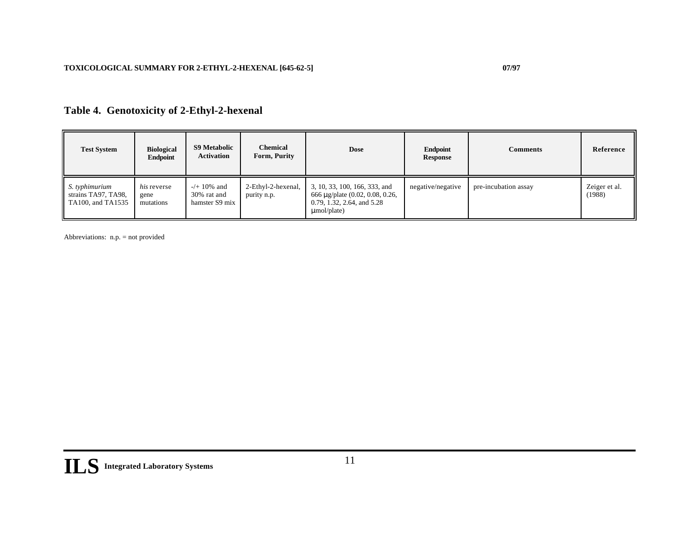# **Table 4. Genotoxicity of 2-Ethyl-2-hexenal**

| <b>Test System</b>                                         | <b>Biological</b><br>Endpoint           | <b>S9 Metabolic</b><br><b>Activation</b>        | <b>Chemical</b><br>Form, Purity   | <b>Dose</b>                                                                                                         | Endpoint<br>Response | <b>Comments</b>      | Reference               |
|------------------------------------------------------------|-----------------------------------------|-------------------------------------------------|-----------------------------------|---------------------------------------------------------------------------------------------------------------------|----------------------|----------------------|-------------------------|
| S. typhimurium<br>strains TA97, TA98,<br>TA100, and TA1535 | <i>his</i> reverse<br>gene<br>mutations | $-/- 10\%$ and<br>30% rat and<br>hamster S9 mix | 2-Ethyl-2-hexenal,<br>purity n.p. | 3, 10, 33, 100, 166, 333, and<br>666 μ g/plate (0.02, 0.08, 0.26,<br>0.79, 1.32, 2.64, and 5.28<br>$\mu$ mol/plate) | negative/negative    | pre-incubation assay | Zeiger et al.<br>(1988) |

Abbreviations: n.p. = not provided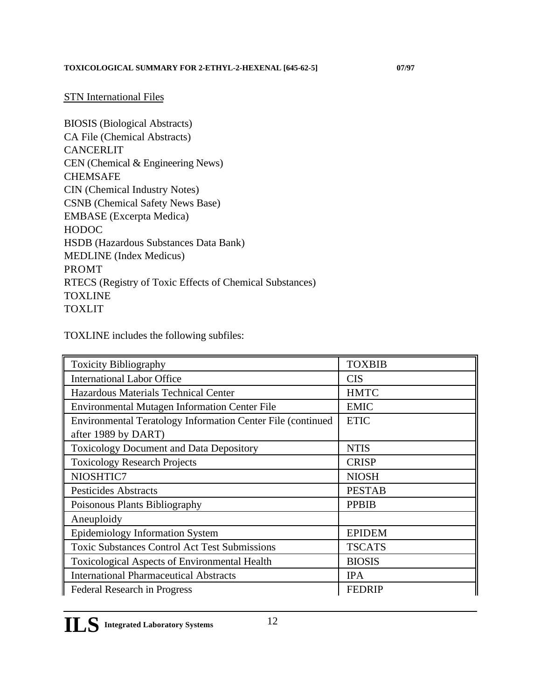#### STN International Files

BIOSIS (Biological Abstracts) CA File (Chemical Abstracts) CANCERLIT CEN (Chemical & Engineering News) CHEMSAFE CIN (Chemical Industry Notes) CSNB (Chemical Safety News Base) EMBASE (Excerpta Medica) HODOC HSDB (Hazardous Substances Data Bank) MEDLINE (Index Medicus) PROMT RTECS (Registry of Toxic Effects of Chemical Substances) **TOXLINE** TOXLIT

TOXLINE includes the following subfiles:

| <b>Toxicity Bibliography</b>                                | <b>TOXBIB</b> |
|-------------------------------------------------------------|---------------|
| <b>International Labor Office</b>                           | <b>CIS</b>    |
| Hazardous Materials Technical Center                        | <b>HMTC</b>   |
| <b>Environmental Mutagen Information Center File</b>        | <b>EMIC</b>   |
| Environmental Teratology Information Center File (continued | <b>ETIC</b>   |
| after 1989 by DART)                                         |               |
| <b>Toxicology Document and Data Depository</b>              | <b>NTIS</b>   |
| <b>Toxicology Research Projects</b>                         | <b>CRISP</b>  |
| NIOSHTIC7                                                   | <b>NIOSH</b>  |
| <b>Pesticides Abstracts</b>                                 | <b>PESTAB</b> |
| Poisonous Plants Bibliography                               | <b>PPBIB</b>  |
| Aneuploidy                                                  |               |
| <b>Epidemiology Information System</b>                      | <b>EPIDEM</b> |
| <b>Toxic Substances Control Act Test Submissions</b>        | <b>TSCATS</b> |
| <b>Toxicological Aspects of Environmental Health</b>        | <b>BIOSIS</b> |
| <b>International Pharmaceutical Abstracts</b>               | <b>IPA</b>    |
| <b>Federal Research in Progress</b>                         | <b>FEDRIP</b> |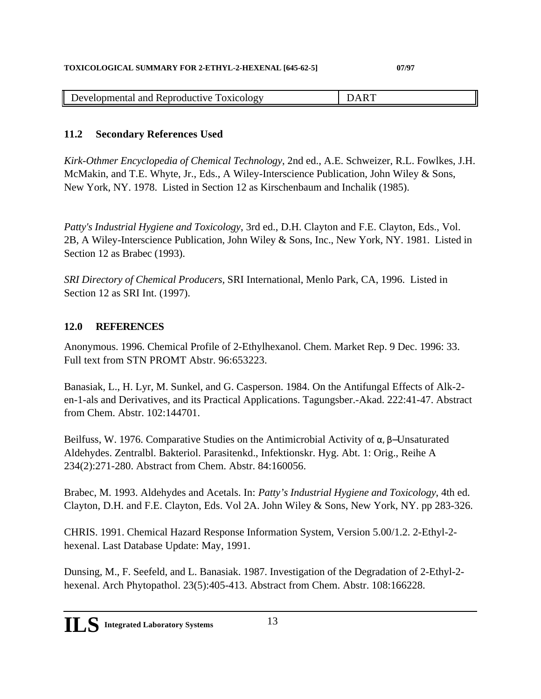| Developmental and Reproductive<br>TOX1COLOGV<br>. . |  |
|-----------------------------------------------------|--|
|-----------------------------------------------------|--|

## **11.2 Secondary References Used**

*Kirk-Othmer Encyclopedia of Chemical Technology*, 2nd ed., A.E. Schweizer, R.L. Fowlkes, J.H. McMakin, and T.E. Whyte, Jr., Eds., A Wiley-Interscience Publication, John Wiley & Sons, New York, NY. 1978. Listed in Section 12 as Kirschenbaum and Inchalik (1985).

*Patty's Industrial Hygiene and Toxicology*, 3rd ed., D.H. Clayton and F.E. Clayton, Eds., Vol. 2B, A Wiley-Interscience Publication, John Wiley & Sons, Inc., New York, NY. 1981. Listed in Section 12 as Brabec (1993).

*SRI Directory of Chemical Producers,* SRI International, Menlo Park, CA, 1996. Listed in Section 12 as SRI Int. (1997).

### **12.0 REFERENCES**

Anonymous. 1996. Chemical Profile of 2-Ethylhexanol. Chem. Market Rep. 9 Dec. 1996: 33. Full text from STN PROMT Abstr. 96:653223.

Banasiak, L., H. Lyr, M. Sunkel, and G. Casperson. 1984. On the Antifungal Effects of Alk-2 en-1-als and Derivatives, and its Practical Applications. Tagungsber.-Akad. 222:41-47. Abstract from Chem. Abstr. 102:144701.

Beilfuss, W. 1976. Comparative Studies on the Antimicrobial Activity of  $\lambda$  - Unsaturated Aldehydes. Zentralbl. Bakteriol. Parasitenkd., Infektionskr. Hyg. Abt. 1: Orig., Reihe A 234(2):271-280. Abstract from Chem. Abstr. 84:160056.

Brabec, M. 1993. Aldehydes and Acetals. In: *Patty's Industrial Hygiene and Toxicology*, 4th ed. Clayton, D.H. and F.E. Clayton, Eds. Vol 2A. John Wiley & Sons, New York, NY. pp 283-326.

CHRIS. 1991. Chemical Hazard Response Information System, Version 5.00/1.2. 2-Ethyl-2 hexenal. Last Database Update: May, 1991.

Dunsing, M., F. Seefeld, and L. Banasiak. 1987. Investigation of the Degradation of 2-Ethyl-2 hexenal. Arch Phytopathol. 23(5):405-413. Abstract from Chem. Abstr. 108:166228.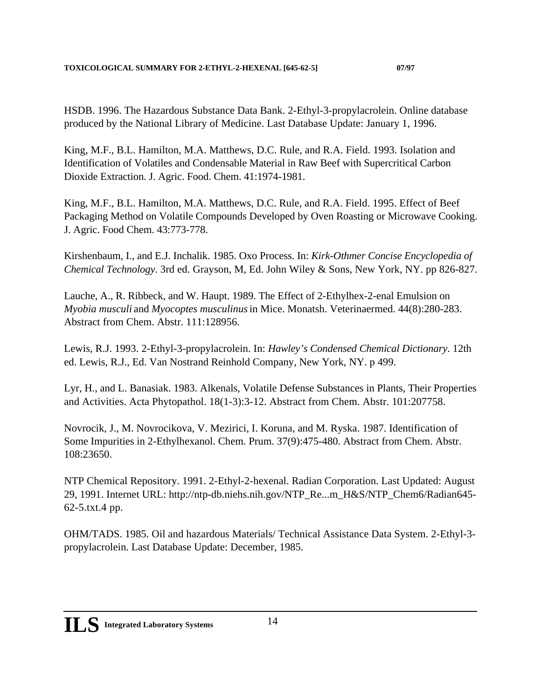HSDB. 1996. The Hazardous Substance Data Bank. 2-Ethyl-3-propylacrolein. Online database produced by the National Library of Medicine. Last Database Update: January 1, 1996.

King, M.F., B.L. Hamilton, M.A. Matthews, D.C. Rule, and R.A. Field. 1993. Isolation and Identification of Volatiles and Condensable Material in Raw Beef with Supercritical Carbon Dioxide Extraction. J. Agric. Food. Chem. 41:1974-1981.

King, M.F., B.L. Hamilton, M.A. Matthews, D.C. Rule, and R.A. Field. 1995. Effect of Beef Packaging Method on Volatile Compounds Developed by Oven Roasting or Microwave Cooking. J. Agric. Food Chem. 43:773-778.

Kirshenbaum, I., and E.J. Inchalik. 1985. Oxo Process. In: *Kirk-Othmer Concise Encyclopedia of Chemical Technology*. 3rd ed. Grayson, M, Ed. John Wiley & Sons, New York, NY. pp 826-827.

Lauche, A., R. Ribbeck, and W. Haupt. 1989. The Effect of 2-Ethylhex-2-enal Emulsion on *Myobia musculi* and *Myocoptes musculinus* in Mice. Monatsh. Veterinaermed. 44(8):280-283. Abstract from Chem. Abstr. 111:128956.

Lewis, R.J. 1993. 2-Ethyl-3-propylacrolein. In: *Hawley's Condensed Chemical Dictionary*. 12th ed. Lewis, R.J., Ed. Van Nostrand Reinhold Company, New York, NY. p 499.

Lyr, H., and L. Banasiak. 1983. Alkenals, Volatile Defense Substances in Plants, Their Properties and Activities. Acta Phytopathol. 18(1-3):3-12. Abstract from Chem. Abstr. 101:207758.

Novrocik, J., M. Novrocikova, V. Mezirici, I. Koruna, and M. Ryska. 1987. Identification of Some Impurities in 2-Ethylhexanol. Chem. Prum. 37(9):475-480. Abstract from Chem. Abstr. 108:23650.

NTP Chemical Repository. 1991. 2-Ethyl-2-hexenal. Radian Corporation. Last Updated: August 29, 1991. Internet URL: http://ntp-db.niehs.nih.gov/NTP\_Re...m\_H&S/NTP\_Chem6/Radian645- 62-5.txt.4 pp.

OHM/TADS. 1985. Oil and hazardous Materials/ Technical Assistance Data System. 2-Ethyl-3 propylacrolein. Last Database Update: December, 1985.